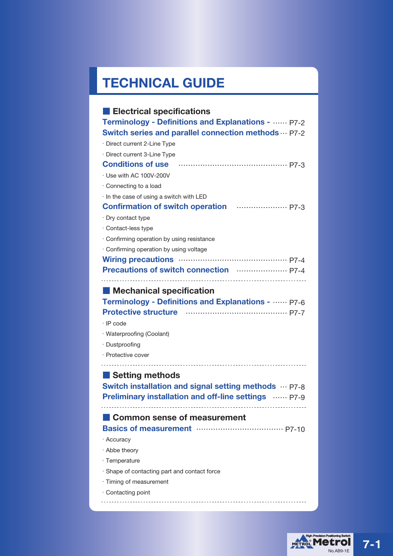# **TECHNICAL GUIDE**

| <b>Electrical specifications</b>                                                                                                           |
|--------------------------------------------------------------------------------------------------------------------------------------------|
| Terminology - Definitions and Explanations -  P7-2                                                                                         |
| Switch series and parallel connection methods  P7-2                                                                                        |
| · Direct current 2-Line Type                                                                                                               |
| · Direct current 3-Line Type                                                                                                               |
| Conditions of use manufactured and p7-3                                                                                                    |
| · Use with AC 100V-200V                                                                                                                    |
| $\cdot$ Connecting to a load                                                                                                               |
| · In the case of using a switch with LED                                                                                                   |
|                                                                                                                                            |
| · Dry contact type                                                                                                                         |
| · Contact-less type                                                                                                                        |
| · Confirming operation by using resistance                                                                                                 |
| · Confirming operation by using voltage                                                                                                    |
|                                                                                                                                            |
| Precautions of switch connection <b>Witch</b> Precautions 1                                                                                |
| <b>Mechanical specification</b>                                                                                                            |
| Terminology - Definitions and Explanations -  P7-6<br>$\cdot$ IP code<br>· Waterproofing (Coolant)<br>· Dustproofing<br>· Protective cover |
| Setting methods                                                                                                                            |
| <b>Switch installation and signal setting methods</b> P7-8                                                                                 |
| <b>Preliminary installation and off-line settings <b>Wither</b> P7-9</b>                                                                   |
| Common sense of measurement                                                                                                                |
| · Accuracy                                                                                                                                 |
| · Abbe theory                                                                                                                              |
| · Temperature                                                                                                                              |
| · Shape of contacting part and contact force                                                                                               |
| · Timing of measurement<br>· Contacting point                                                                                              |



**7-1**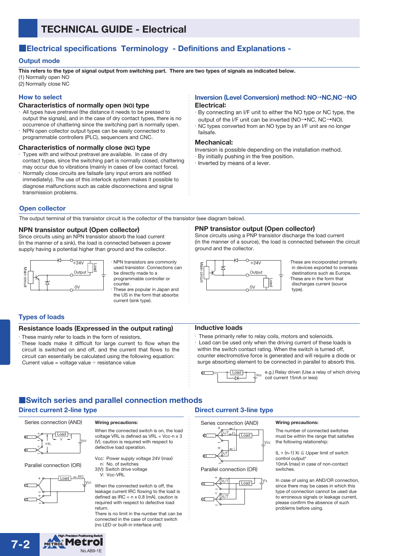# ■**Electrical specifications Terminology - Definitions and Explanations -**

# **Output mode**

**This refers to the type of signal output from switching part. There are two types of signals as indicated below.** (1) Normally open NO

(2) Normally close NC

# **How to select**

#### **Characteristics of normally open (NO) type**

- All types have pretravel (the distance it needs to be pressed to output the signals), and in the case of dry contact types, there is no occurrence of chattering since the switching part is normally open.
- NPN open collector output types can be easily connected to programmable controllers (PLC), sequencers and CNC.

#### **Characteristics of normally close (NC) type**

- Types with and without pretravel are available. In case of dry contact types, since the switching part is normally closed, chattering may occur due to vibrations (mainly in cases of low contact force).
- Normally close circuits are failsafe (any input errors are notified immediately). The use of this interlock system makes it possible to diagnose malfunctions such as cable disconnections and signal transmission problems.

### **Inversion (Level Conversion) method: NO**→**NC**,**NC**→**NO Electrical:**

・By connecting an I/F unit to either the NO type or NC type, the output of the I/F unit can be inverted (NO→NC, NC→NO). NC types converted from an NO type by an I/F unit are no longer failsafe.

### **Mechanical:**

- Inversion is possible depending on the installation method.
- ・By initially pushing in the free position.

・Inverted by means of a lever.

### **Open collector**

The output terminal of this transistor circuit is the collector of the transistor (see diagram below).

### **NPN transistor output (Open collector)**

Since circuits using an NPN transistor absorb the load current (in the manner of a sink), the load is connected between a power supply having a potential higher than ground and the collector.



・ NPN transistors are commonly used transistor. Connections can be directly made to a programmable controller or

counter. These are popular in Japan and the US in the form that absorbs current (sink type).

### **Types of loads**

### **Resistance loads (Expressed in the output rating)**

- ・These mainly refer to loads in the form of resistors.
- ・ These loads make it difficult for large current to flow when the circuit is switched on and off, and the current that flows to the circuit can essentially be calculated using the following equation: Current value = voltage value  $\div$  resistance value

# **PNP transistor output (Open collector)**

Since circuits using a PNP transistor discharge the load current (in the manner of a source), the load is connected between the circuit ground and the collector.



・These are incorporated primarily in devices exported to overseas destinations such as Europe. ・These are in the form that discharges current (source type).

### **Inductive loads**

・ These primarily refer to relay coils, motors and solenoids. ・ Load can be used only when the driving current of these loads is within the switch contact rating. When the switch is turned off, counter electromotive force is generated and will require a diode or surge absorbing element to be connected in parallel to absorb this.

Œ  $\frac{[Load]}{]}$ <sub>Vcc</sub>

e.g.) Relay driven (Use a relay of which driving coil current 15mA or less)

# ■**Switch series and parallel connection methods**

## **Direct current 2-line type**





Parallel connection (OR)



#### **Wiring precautions:**

When the connected switch is on, the load voltage VRL is defined as VRL =  $\vec{V}$ cc-n x 3 (V), caution is required with respect to defective load operation.

Vcc: Power supply voltage 24V (max) n: No. of switches 3(V): Switch drive voltage

V: Vcc-VRL

When the connected switch is off, the leakage current IRC flowing to the load is defined as  $\text{IRC} = \text{n} \times \text{0.8}$  (mA), caution is required with respect to defective load return.

There is no limit in the number that can be connected in the case of contact switch (no LED or built-in interface unit)

# **Direct current 3-line type**

Series connection (AND)



Parallel connection (OR)



#### **Wiring precautions:**

The number of connected switches must be within the range that satisfies the following relationship:

IL + (n-1)  $Xi \leq$  Upper limit of switch control output\* 10mA (max) in case of non-contact switches.

In case of using an AND/OR connection. since there may be cases in which this type of connection cannot be used due to erroneous signals or leakage current. please confirm the absence of such problems before using.

METROL **7-2** No.AB9-1E

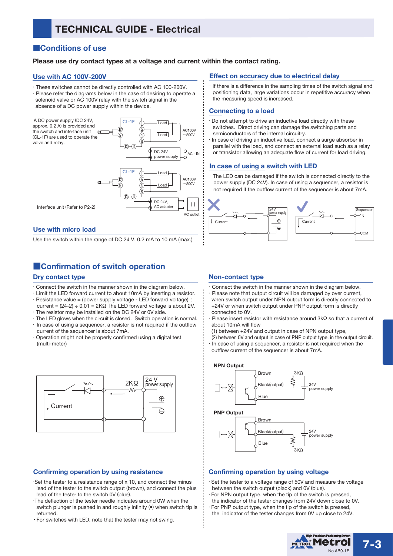# **TECHNICAL GUIDE - Electrical**

# ■**Conditions of use**

## **Please use dry contact types at a voltage and current within the contact rating.**

### **Use with AC 100V-200V**

・These switches cannot be directly controlled with AC 100-200V. ・Please refer the diagrams below in the case of desiring to operate a solenoid valve or AC 100V relay with the switch signal in the absence of a DC power supply within the device.



### **Use with micro load**

Use the switch within the range of DC 24 V, 0.2 mA to 10 mA (max.)

# ■**Confirmation of switch operation**

### **Dry contact type**

- ・Connect the switch in the manner shown in the diagram below.
- ・Limit the LED forward current to about 10mA by inserting a resistor.  $\cdot$  Resistance value = (power supply voltage - LED forward voltage)  $\div$
- current = (24-2) ÷ 0.01 = 2KΩ The LED forward voltage is about 2V. ・The resistor may be installed on the DC 24V or 0V side.
- ・The LED glows when the circuit is closed. Switch operation is normal. ・In case of using a sequencer, a resistor is not required if the outflow current of the sequencer is about 7mA.
- Operation might not be properly confirmed using a digital test (multi-meter)



### **Confirming operation by using resistance**

- ・Set the tester to a resistance range of x 10, and connect the minus lead of the tester to the switch output (brown), and connect the plus lead of the tester to the switch 0V (blue).
- ・The deflection of the tester needle indicates around 0W when the switch plunger is pushed in and roughly infinity ( $\bullet$ ) when switch tip is returned.
- ・ For switches with LED, note that the tester may not swing.

### **Effect on accuracy due to electrical delay**

・If there is a difference in the sampling times of the switch signal and positioning data, large variations occur in repetitive accuracy when the measuring speed is increased.

#### **Connecting to a load**

- Do not attempt to drive an inductive load directly with these switches. Direct driving can damage the switching parts and semiconductors of the internal circuitry.
- In case of driving an inductive load, connect a surge absorber in parallel with the load, and connect an external load such as a relay or transistor allowing an adequate flow of current for load driving.

### **In case of using a switch with LED**

The LED can be damaged if the switch is connected directly to the power supply (DC 24V). In case of using a sequencer, a resistor is not required if the outflow current of the sequencer is about 7mA.



### **Non-contact type**

- Connect the switch in the manner shown in the diagram below.
- Please note that output circuit will be damaged by over current, when switch output under NPN output form is directly connected to +24V or when switch output under PNP output form is directly connected to 0V.
- Please insert resistor with resistance around 3kΩ so that a current of about 10mA will flow
- (1) between +24V and output in case of NPN output type,
- (2) between 0V and output in case of PNP output type, in the output circuit. ・In case of using a sequencer, a resistor is not required when the
- outflow current of the sequencer is about 7mA.

#### **NPN Output**



#### **PNP Output**



## **Confirming operation by using voltage**

- Set the tester to a voltage range of 50V and measure the voltage between the switch output (black) and 0V (blue).
- For NPN output type, when the tip of the switch is pressed,
- the indicator of the tester changes from 24V down close to 0V. For PNP output type, when the tip of the switch is pressed,
- the indicator of the tester changes from 0V up close to 24V.

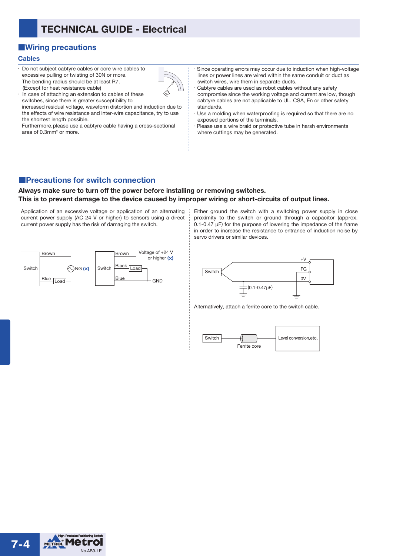# **TECHNICAL GUIDE - Electrical**

# ■**Wiring precautions**

### **Cables**

- ・ Do not subject cabtyre cables or core wire cables to excessive pulling or twisting of 30N or more. The bending radius should be at least R7. (Except for heat resistance cable)
- ・ In case of attaching an extension to cables of these switches, since there is greater susceptibility to increased residual voltage, waveform distortion and induction due to the effects of wire resistance and inter-wire capacitance, try to use

the shortest length possible. Furthermore, please use a cabtyre cable having a cross-sectional area of 0.3mm<sup>2</sup> or more.

Since operating errors may occur due to induction when high-voltage lines or power lines are wired within the same conduit or duct as switch wires, wire them in separate ducts.

Cabtyre cables are used as robot cables without any safety compromise since the working voltage and current are low, though cabtyre cables are not applicable to UL, CSA, En or other safety standards.

Use a molding when waterproofing is required so that there are no exposed portions of the terminals.

Please use a wire braid or protective tube in harsh environments where cuttings may be generated.

# ■**Precautions for switch connection**

# **Always make sure to turn off the power before installing or removing switches. This is to prevent damage to the device caused by improper wiring or short-circuits of output lines.**

Application of an excessive voltage or application of an alternating current power supply (AC 24 V or higher) to sensors using a direct current power supply has the risk of damaging the switch.



Either ground the switch with a switching power supply in close proximity to the switch or ground through a capacitor (approx. 0.1-0.47 µF) for the purpose of lowering the impedance of the frame in order to increase the resistance to entrance of induction noise by servo drivers or similar devices.



Alternatively, attach a ferrite core to the switch cable.



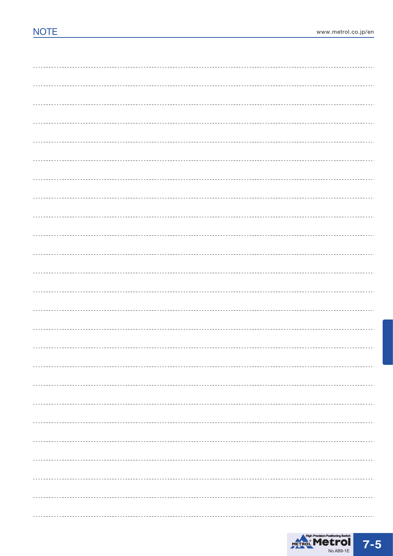

------------------------------------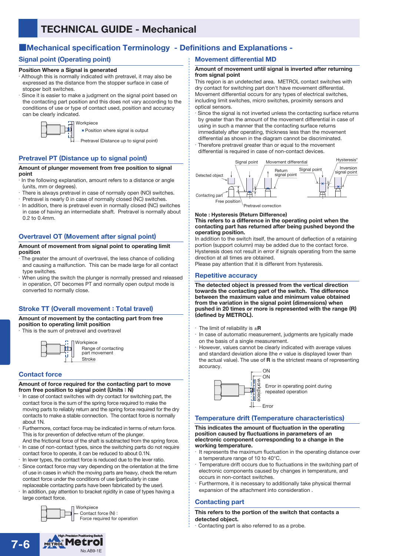# ■**Mechanical specification Terminology - Definitions and Explanations -**

# **Signal point (Operating point)**

### **Position Where a Signal is generated**

- ・ Although this is normally indicated with pretravel, it may also be expressed as the distance from the stopper surface in case of stopper bolt switches.
- Since it is easier to make a judgment on the signal point based on the contacting part position and this does not vary according to the conditions of use or type of contact used, position and accuracy can be clearly indicated.

Workpiece

Position where signal is output

Pretravel (Distance up to signal point)

# **Pretravel PT (Distance up to signal point)**

#### **Amount of plunger movement from free position to signal point**

- ・ In the following explanation, amount refers to a distance or angle (units, mm or degrees).
- There is always pretravel in case of normally open (NO) switches.
- ・Pretravel is nearly 0 in case of normally closed (NC) switches.
- ・In addition, there is pretravel even in normally closed (NC) switches in case of having an intermediate shaft. Pretravel is normally about 0.2 to 0.4mm.

# **Overtravel OT (Movement after signal point)**

#### **Amount of movement from signal point to operating limit position**

- ・ The greater the amount of overtravel, the less chance of colliding and causing a malfunction. This can be made large for all contact type switches.
- When using the switch the plunger is normally pressed and released in operation, OT becomes PT and normally open output mode is converted to normally close.

# **Stroke TT (Overall movement : Total travel)**

#### **Amount of movement by the contacting part from free position to operating limit position**

・This is the sum of pretravel and overtravel

**Stroke** Workpiece Range of contacting part movement

# **Contact force**

#### **Amount of force required for the contacting part to move from free position to signal point (Units : N)**

- In case of contact switches with dry contact for switching part, the contact force is the sum of the spring force required to make the moving parts to reliably return and the spring force required for the dry contacts to make a stable connection. The contact force is normally about 1N.
- Furthermore, contact force may be indicated in terms of return force. This is for prevention of defective return of the plunger.
- And the frictional force of the shaft is subtracted from the spring force. ・ In case of non-contact types, since the switching parts do not require contact force to operate, it can be reduced to about 0.1N.
- In lever types, the contact force is reduced due to the lever ratio.
- Since contact force may vary depending on the orientation at the time of use in cases in which the moving parts are heavy, check the return contact force under the conditions of use (particularly in case replaceable contacting parts have been fabricated by the user).
- In addition, pay attention to bracket rigidity in case of types having a large contact force.



# **Movement differential MD**

#### **Amount of movement until signal is inverted after returning from signal point**

This region is an undetected area. METROL contact switches with dry contact for switching part don't have movement differential. Movement differential occurs for any types of electrical switches, including limit switches, micro switches, proximity sensors and optical sensors.

Since the signal is not inverted unless the contacting surface returns by greater than the amount of the movement differential in case of using in such a manner that the contacting surface returns immediately after operating, thickness less than the movement differential as shown in the diagram cannot be discriminated.

Therefore pretravel greater than or equal to the movement differential is required in case of non-contact devices.



**Note : Hysteresis (Return Difference)**

#### **This refers to a difference in the operating point when the contacting part has returned after being pushed beyond the operating position.**

In addition to the switch itself, the amount of deflection of a retaining portion (support column) may be added due to the contact force. Hysteresis does not result in error if signals operating from the same direction at all times are obtained.

Please pay attention that it is different from hysteresis.

# **Repetitive accuracy**

**The detected object is pressed from the vertical direction towards the contacting part of the switch. The difference between the maximum value and minimum value obtained from the variation in the signal point (dimensions) when pushed in 20 times or more is represented with the range (R) (defined by METROL).**

- $\cdot$  The limit of reliability is  $\pm \mathbf{R}$
- ・ In case of automatic measurement, judgments are typically made on the basis of a single measurement.

However, values cannot be clearly indicated with average values and standard deviation alone (the  $\sigma$  value is displayed lower than the actual value). The use of **R** is the strictest means of representing accuracy.



## **Temperature drift (Temperature characteristics)**

#### **This indicates the amount of fluctuation in the operating position caused by fluctuations in parameters of an electronic component corresponding to a change in the working temperature.**

- It represents the maximum fluctuation in the operating distance over a temperature range of 10 to 40°C.
- Temperature drift occurs due to fluctuations in the switching part of electronic components caused by changes in temperature, and occurs in non-contact switches.
- Furthermore, it is necessary to additionally take physical thermal expansion of the attachment into consideration .

# **Contacting part**

### **This refers to the portion of the switch that contacts a detected object.**

Contacting part is also referred to as a probe.

METROL Metrol **7-6** No.AB9-1E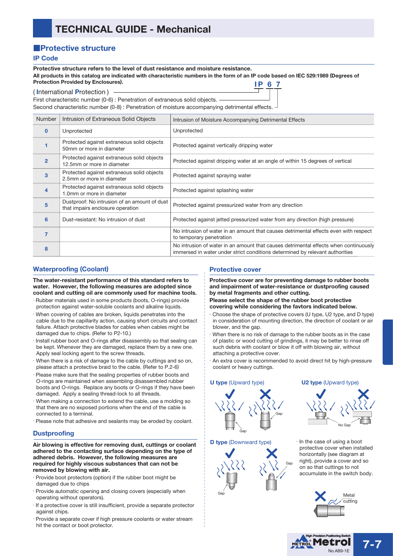# ■**Protective structure**

## **IP Code**

**Protective structure refers to the level of dust resistance and moisture resistance. All products in this catalog are indicated with characteristic numbers in the form of an IP code based on IEC 529:1989 (Degrees of Protection Provided by Enclosures). IP 6 7**

#### ( **I**nternational **P**rotection )

First characteristic number (0-6) : Penetration of extraneous solid objects. Second characteristic number (0-8) : Penetration of moisture accompanying detrimental effects.

| <b>Number</b>  | Intrusion of Extraneous Solid Objects                                            | Intrusion of Moisture Accompanying Detrimental Effects                                                                                                               |
|----------------|----------------------------------------------------------------------------------|----------------------------------------------------------------------------------------------------------------------------------------------------------------------|
| $\Omega$       | Unprotected                                                                      | Unprotected                                                                                                                                                          |
|                | Protected against extraneous solid objects<br>50mm or more in diameter           | Protected against vertically dripping water                                                                                                                          |
| $\overline{2}$ | Protected against extraneous solid objects<br>12.5mm or more in diameter         | Protected against dripping water at an angle of within 15 degrees of vertical                                                                                        |
| 3              | Protected against extraneous solid objects<br>2.5mm or more in diameter          | Protected against spraying water                                                                                                                                     |
| 4              | Protected against extraneous solid objects<br>1.0mm or more in diameter          | Protected against splashing water                                                                                                                                    |
| 5              | Dustproof: No intrusion of an amount of dust<br>that impairs enclosure operation | Protected against pressurized water from any direction                                                                                                               |
| 6              | Dust-resistant: No intrusion of dust                                             | Protected against jetted pressurized water from any direction (high pressure)                                                                                        |
| 7              |                                                                                  | No intrusion of water in an amount that causes detrimental effects even with respect<br>to temporary penetration                                                     |
| 8              |                                                                                  | No intrusion of water in an amount that causes detrimental effects when continuously<br>immersed in water under strict conditions determined by relevant authorities |

# **Waterproofing (Coolant)**

**The water-resistant performance of this standard refers to water. However, the following measures are adopted since coolant and cutting oil are commonly used for machine tools.**

- ・ Rubber materials used in some products (boots, O-rings) provide protection against water-soluble coolants and alkaline liquids.
- ・ When covering of cables are broken, liquids penetrates into the cable due to the capillarity action, causing short circuits and contact failure. Attach protective blades for cables when cables might be damaged due to chips. (Refer to P2-10.)
- Install rubber boot and O-rings after disassembly so that sealing can be kept. Whenever they are damaged, replace them by a new one. Apply seal locking agent to the screw threads.
- ・When there is a risk of damage to the cable by cuttings and so on, please attach a protective braid to the cable. (Refer to P.2-6)
- Please make sure that the sealing properties of rubber boots and O-rings are maintained when assembling disassembled rubber boots and O-rings. Replace any boots or O-rings if they have been damaged. Apply a sealing thread-lock to all threads.
- When making a connection to extend the cable, use a molding so that there are no exposed portions when the end of the cable is connected to a terminal.
- ・ Please note that adhesive and sealants may be eroded by coolant.

# **Dustproofing**

**Air blowing is effective for removing dust, cuttings or coolant adhered to the contacting surface depending on the type of adhered debris. However, the following measures are required for highly viscous substances that can not be removed by blowing with air.**

- ・ Provide boot protectors (option) if the rubber boot might be damaged due to chips
- Provide automatic opening and closing covers (especially when operating without operators).
- ・ If a protective cover is still insufficient, provide a separate protector against chips.
- Provide a separate cover if high pressure coolants or water stream hit the contact or boot protector.

# **Protective cover**

**Protective cover are for preventing damage to rubber boots and impairment of water-resistance or dustproofing caused by metal fragments and other cutting.**

### **Please select the shape of the rubber boot protective covering while considering the favtors indicated below.**

- ・Choose the shape of protective covers (U type, U2 type, and D type) in consideration of mounting direction, the direction of coolant or air blower, and the gap.
- When there is no risk of damage to the rubber boots as in the case of plastic or wood cutting of grindings, it may be better to rinse off such debris with coolant or blow it off with blowing air, without attaching a protective cover.
- ・An extra cover is recommended to avoid direct hit by high-pressure coolant or heavy cuttings.

#### **U type** (Upward type) **U2 type** (Upward type)



### **D type** (Downward type)



・In the case of using a boot protective cover when installed horizontally (see diagram at right), provide a cover and so on so that cuttings to not accumulate in the switch body.

No Gap



**7-7**

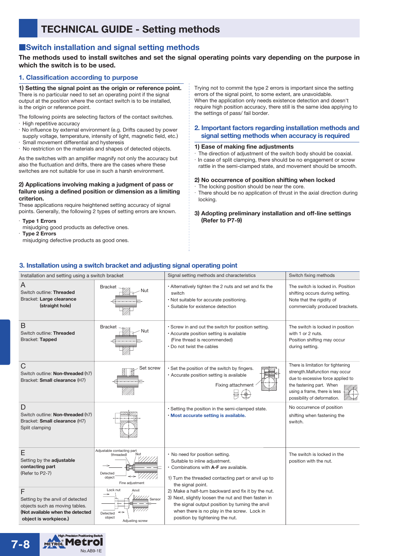# **TECHNICAL GUIDE - Setting methods**

# ■**Switch installation and signal setting methods**

## **The methods used to install switches and set the signal operating points vary depending on the purpose in which the switch is to be used.**

### **1. Classification according to purpose**

**1) Setting the signal point as the origin or reference point.** There is no particular need to set an operating point if the signal output at the position where the contact switch is to be installed, is the origin or reference point.

The following points are selecting factors of the contact switches. ・High repetitive accuracy

- ・No influence by external environment (e.g. Drifts caused by power supply voltage, temperature, intensity of light, magnetic field, etc.)
- Small movement differential and hysteresis
- No restriction on the materials and shapes of detected objects.

As the switches with an amplifier magnify not only the accuracy but also the fluctuation and drifts, there are the cases where these switches are not suitable for use in such a harsh environment.

#### **2) Applications involving making a judgment of pass or failure using a defined position or dimension as a limiting criterion.**

These applications require heightened setting accuracy of signal points. Generally, the following 2 types of setting errors are known.

- ・**Type 1 Errors**
- misjudging good products as defective ones.
- ・**Type 2 Errors**
- misjudging defective products as good ones.

Trying not to commit the type 2 errors is important since the setting errors of the signal point, to some extent, are unavoidable. When the application only needs existence detection and doesn't require high position accuracy, there still is the same idea applying to the settings of pass/ fail border.

# **2. Important factors regarding installation methods and signal setting methods when accuracy is required**

#### **1) Ease of making fine adjustments**

・The direction of adjustment of the switch body should be coaxial. ・In case of split clamping, there should be no engagement or screw rattle in the semi-clamped state, and movement should be smooth.

#### **2) No occurrence of position shifting when locked**

The locking position should be near the core.

There should be no application of thrust in the axial direction during locking.

**3) Adopting preliminary installation and off-line settings (Refer to P7-9)**

# **3. Installation using a switch bracket and adjusting signal operating point**

| Installation and setting using a switch bracket                                                                                      |                                                                                        | Signal setting methods and characteristics                                                                                                                                                                                                      | Switch fixing methods                                                                                                                                                                                |
|--------------------------------------------------------------------------------------------------------------------------------------|----------------------------------------------------------------------------------------|-------------------------------------------------------------------------------------------------------------------------------------------------------------------------------------------------------------------------------------------------|------------------------------------------------------------------------------------------------------------------------------------------------------------------------------------------------------|
| A<br>Switch outline: Threaded<br>Bracket: Large clearance<br>(straight hole)                                                         | <b>Bracket</b><br>٧ut                                                                  | • Alternatively tighten the 2 nuts and set and fix the<br>switch<br>. Not suitable for accurate positioning.<br>· Suitable for existence detection                                                                                              | The switch is locked in. Position<br>shifting occurs during setting.<br>Note that the rigidity of<br>commercially produced brackets.                                                                 |
| B<br>Switch outline: Threaded<br>Bracket: Tapped                                                                                     | <b>Bracket</b><br>Nut                                                                  | · Screw in and out the switch for position setting.<br>• Accurate position setting is available<br>(Fine thread is recommended)<br>. Do not twist the cables                                                                                    | The switch is locked in position<br>with 1 or 2 nuts.<br>Position shifting may occur<br>during setting.                                                                                              |
| $\mathsf{C}$<br>Switch outline: Non-threaded (h7)<br>Bracket: Small clearance (H7)                                                   | Set screw                                                                              | . Set the position of the switch by fingers.<br>• Accurate position setting is available<br>Fixing attachment                                                                                                                                   | There is limitation for tightening<br>strength.Malfunction may occur<br>due to excessive force applied to<br>the fastening part. When<br>using a frame, there is less<br>possibility of deformation. |
| D<br>Switch outline: Non-threaded (h7)<br>Bracket: Small clearance (H7)<br>Split clamping                                            |                                                                                        | · Setting the position in the semi-clamped state.<br>· Most accurate setting is available.                                                                                                                                                      | No occurrence of position<br>shifting when fastening the<br>switch.                                                                                                                                  |
| Е<br>Setting by the adjustable<br>contacting part<br>(Refer to P2-7)                                                                 | Adjustable contacting part<br>(threaded)<br>Detected<br>⇔<br>object<br>Fine adjustment | • No need for position setting.<br>Suitable to inline adjustment.<br>• Combinations with A-F are available.<br>1) Turn the threaded contacting part or anvil up to<br>the signal point.                                                         | The switch is locked in the<br>position with the nut.                                                                                                                                                |
| F<br>Setting by the anvil of detected<br>objects such as moving tables.<br>(Not available when the detected<br>object is workpiece.) | Lock nut<br>Anvil<br>Sensor<br>Detected<br>object<br>Adjusting screw                   | 2) Make a half-turn backward and fix it by the nut.<br>3) Next, slightly loosen the nut and then fasten in<br>the signal output position by turning the anvil<br>when there is no play in the screw. Lock in<br>position by tightening the nut. |                                                                                                                                                                                                      |

METROL METROL **7-8** No.AB9-1E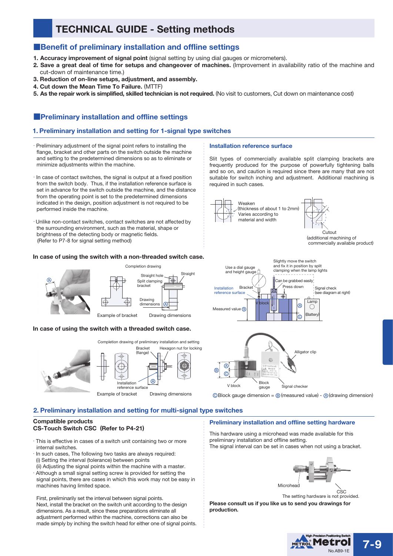# **TECHNICAL GUIDE - Setting methods**

# ■**Benefit of preliminary installation and offline settings**

- **1. Accuracy improvement of signal point** (signal setting by using dial gauges or micrometers).
- **2. Save a great deal of time for setups and changeover of machines.** (Improvement in availability ratio of the machine and cut-down of maintenance time.)

**Installation reference surface**

required in such cases.

Weaken

(thickness of about 1 to 2mm) Varies according to material and width

- **3. Reduction of on-line setups, adjustment, and assembly.**
- **4. Cut down the Mean Time To Failure.** (MTTF)
- **5. As the repair work is simplified, skilled technician is not required.** (No visit to customers, Cut down on maintenance cost)

# ■**Preliminary installation and offline settings**

## **1. Preliminary installation and setting for 1-signal type switches**

- ・Preliminary adjustment of the signal point refers to installing the flange, bracket and other parts on the switch outside the machine and setting to the predetermined dimensions so as to eliminate or minimize adjustments within the machine.
- ・In case of contact switches, the signal is output at a fixed position from the switch body. Thus, if the installation reference surface is set in advance for the switch outside the machine, and the distance from the operating point is set to the predetermined dimensions indicated in the design, position adjustment is not required to be performed inside the machine.
- ・Unlike non-contact switches, contact switches are not affected by the surrounding environment, such as the material, shape or brightness of the detecting body or magnetic fields. (Refer to P7-8 for signal setting method)

### **In case of using the switch with a non-threaded switch case.**



### **In case of using the switch with a threaded switch case.**







Slit types of commercially available split clamping brackets are frequently produced for the purpose of powerfully tightening balls and so on, and caution is required since there are many that are not suitable for switch inching and adjustment. Additional machining is

> Cutout (additional machining of commercially available product)

 $\circledcirc$  Block gauge dimension =  $\circledcirc$  (measured value) -  $\circledcirc$  (drawing dimension)

# **2. Preliminary installation and setting for multi-signal type switches**

### **Compatible products CS-Touch Switch CSC (Refer to P4-21)**

- ・ This is effective in cases of a switch unit containing two or more internal switches.
- In such cases, The following two tasks are always required: (i) Setting the interval (tolerance) between points
- (ii) Adjusting the signal points within the machine with a master. ・ Although a small signal setting screw is provided for setting the
- signal points, there are cases in which this work may not be easy in machines having limited space.

First, preliminarily set the interval between signal points. Next, install the bracket on the switch unit according to the design dimensions. As a result, since these preparations eliminate all adjustment performed within the machine, corrections can also be made simply by inching the switch head for either one of signal points.

### **Preliminary installation and offline setting hardware**

This hardware using a microhead was made available for this preliminary installation and offline setting. The signal interval can be set in cases when not using a bracket.



The setting hardware is not provided.

**Please consult us if you like us to send you drawings for production.**

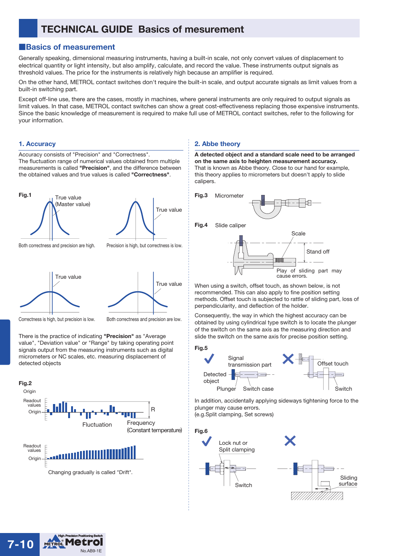# **TECHNICAL GUIDE Basics of mesurement**

# ■**Basics of measurement**

Accuracy consists of "Precision" and "Correctness".

The fluctuation range of numerical values obtained from multiple

Generally speaking, dimensional measuring instruments, having a built-in scale, not only convert values of displacement to electrical quantity or light intensity, but also amplify, calculate, and record the value. These instruments output signals as threshold values. The price for the instruments is relatively high because an amplifier is required.

On the other hand, METROL contact switches don't require the built-in scale, and output accurate signals as limit values from a built-in switching part.

Except off-line use, there are the cases, mostly in machines, where general instruments are only required to output signals as limit values. In that case, METROL contact switches can show a great cost-effectiveness replacing those expensive instruments. Since the basic knowledge of measurement is required to make full use of METROL contact switches, refer to the following for your information.

## **1. Accuracy**



Correctness is high, but precision is low.

Both correctness and precision are low.

There is the practice of indicating **"Precision"** as "Average value", "Deviation value" or "Range" by taking operating point signals output from the measuring instruments such as digital micrometers or NC scales, etc. measuring displacement of detected objects



# **2. Abbe theory**

**A detected object and a standard scale need to be arranged on the same axis to heighten measurement accuracy.**  That is known as Abbe theory. Close to our hand for example, this theory applies to micrometers but doesn't apply to slide calipers.



When using a switch, offset touch, as shown below, is not recommended. This can also apply to fine position setting methods. Offset touch is subjected to rattle of sliding part, loss of perpendicularity, and deflection of the holder.

Consequently, the way in which the highest accuracy can be obtained by using cylindrical type switch is to locate the plunger of the switch on the same axis as the measuring direction and slide the switch on the same axis for precise position setting.

# **Fig.5**



In addition, accidentally applying sideways tightening force to the plunger may cause errors. (e.g.Split clamping, Set screws)